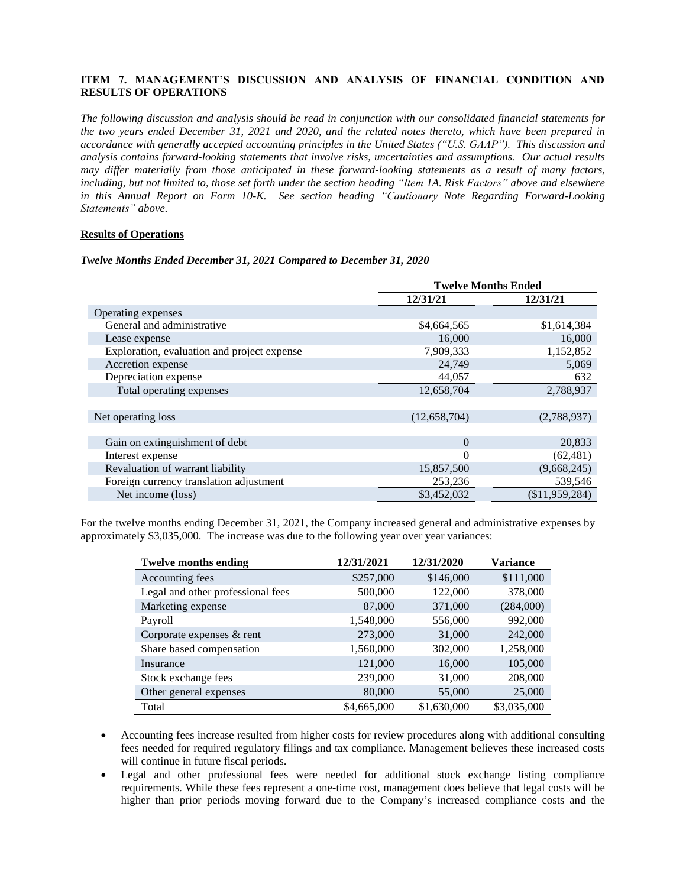# **ITEM 7. MANAGEMENT'S DISCUSSION AND ANALYSIS OF FINANCIAL CONDITION AND RESULTS OF OPERATIONS**

The following discussion and analysis should be read in conjunction with our consolidated financial statements for the two years ended December 31, 2021 and 2020, and the related notes thereto, which have been prepared in *accordance with generally accepted accounting principles in the United States ("U.S. GAAP"). This discussion and analysis contains forward-looking statements that involve risks, uncertainties and assumptions. Our actual results may differ materially from those anticipated in these forward-looking statements as a result of many factors,* including, but not limited to, those set forth under the section heading "Item 1A. Risk Factors" above and elsewhere *in this Annual Report on Form 10-K. See section heading "Cautionary Note Regarding Forward-Looking Statements" above.*

## **Results of Operations**

#### *Twelve Months Ended December 31, 2021 Compared to December 31, 2020*

|                                             |              | <b>Twelve Months Ended</b> |  |
|---------------------------------------------|--------------|----------------------------|--|
|                                             | 12/31/21     | 12/31/21                   |  |
| Operating expenses                          |              |                            |  |
| General and administrative                  | \$4,664,565  | \$1,614,384                |  |
| Lease expense                               | 16,000       | 16,000                     |  |
| Exploration, evaluation and project expense | 7,909,333    | 1,152,852                  |  |
| Accretion expense                           | 24,749       | 5,069                      |  |
| Depreciation expense                        | 44,057       | 632                        |  |
| Total operating expenses                    | 12,658,704   | 2,788,937                  |  |
|                                             |              |                            |  |
| Net operating loss                          | (12,658,704) | (2,788,937)                |  |
|                                             |              |                            |  |
| Gain on extinguishment of debt              | $\Omega$     | 20,833                     |  |
| Interest expense                            | 0            | (62, 481)                  |  |
| Revaluation of warrant liability            | 15,857,500   | (9,668,245)                |  |
| Foreign currency translation adjustment     | 253,236      | 539,546                    |  |
| Net income (loss)                           | \$3,452,032  | (\$11,959,284)             |  |

For the twelve months ending December 31, 2021, the Company increased general and administrative expenses by approximately \$3,035,000. The increase was due to the following year over year variances:

| <b>Twelve months ending</b>       | 12/31/2021  | 12/31/2020  | <b>Variance</b> |
|-----------------------------------|-------------|-------------|-----------------|
| Accounting fees                   | \$257,000   | \$146,000   | \$111,000       |
| Legal and other professional fees | 500,000     | 122,000     | 378,000         |
| Marketing expense                 | 87,000      | 371,000     | (284,000)       |
| Payroll                           | 1,548,000   | 556,000     | 992,000         |
| Corporate expenses & rent         | 273,000     | 31,000      | 242,000         |
| Share based compensation          | 1,560,000   | 302,000     | 1,258,000       |
| Insurance                         | 121,000     | 16,000      | 105,000         |
| Stock exchange fees               | 239,000     | 31,000      | 208,000         |
| Other general expenses            | 80,000      | 55,000      | 25,000          |
| Total                             | \$4,665,000 | \$1,630,000 | \$3,035,000     |

- Accounting fees increase resulted from higher costs for review procedures along with additional consulting fees needed for required regulatory filings and tax compliance. Management believes these increased costs will continue in future fiscal periods.
- Legal and other professional fees were needed for additional stock exchange listing compliance requirements. While these fees represent a one-time cost, management does believe that legal costs will be higher than prior periods moving forward due to the Company's increased compliance costs and the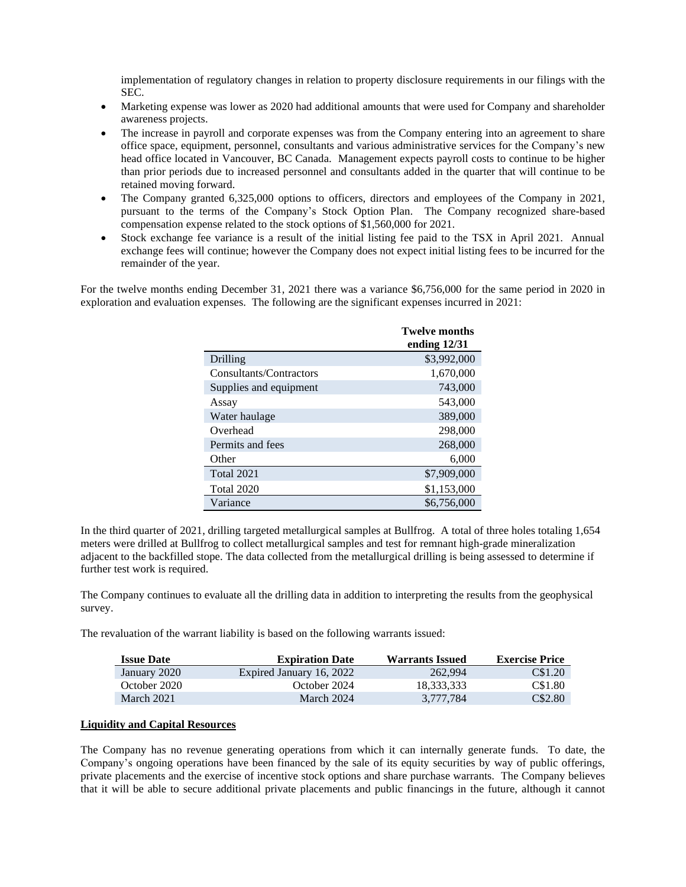implementation of regulatory changes in relation to property disclosure requirements in our filings with the SEC.

- Marketing expense was lower as 2020 had additional amounts that were used for Company and shareholder awareness projects.
- The increase in payroll and corporate expenses was from the Company entering into an agreement to share office space, equipment, personnel, consultants and various administrative services for the Company's new head office located in Vancouver, BC Canada. Management expects payroll costs to continue to be higher than prior periods due to increased personnel and consultants added in the quarter that will continue to be retained moving forward.
- The Company granted 6,325,000 options to officers, directors and employees of the Company in 2021, pursuant to the terms of the Company's Stock Option Plan. The Company recognized share-based compensation expense related to the stock options of \$1,560,000 for 2021.
- Stock exchange fee variance is a result of the initial listing fee paid to the TSX in April 2021. Annual exchange fees will continue; however the Company does not expect initial listing fees to be incurred for the remainder of the year.

For the twelve months ending December 31, 2021 there was a variance \$6,756,000 for the same period in 2020 in exploration and evaluation expenses. The following are the significant expenses incurred in 2021:

|                         | <b>Twelve months</b><br>ending $12/31$ |
|-------------------------|----------------------------------------|
| Drilling                | \$3,992,000                            |
| Consultants/Contractors | 1,670,000                              |
| Supplies and equipment  | 743,000                                |
| Assay                   | 543,000                                |
| Water haulage           | 389,000                                |
| Overhead                | 298,000                                |
| Permits and fees        | 268,000                                |
| Other                   | 6,000                                  |
| Total 2021              | \$7,909,000                            |
| <b>Total 2020</b>       | \$1,153,000                            |
| Variance                | \$6,756,000                            |

In the third quarter of 2021, drilling targeted metallurgical samples at Bullfrog. A total of three holes totaling 1,654 meters were drilled at Bullfrog to collect metallurgical samples and test for remnant high-grade mineralization adjacent to the backfilled stope. The data collected from the metallurgical drilling is being assessed to determine if further test work is required.

The Company continues to evaluate all the drilling data in addition to interpreting the results from the geophysical survey.

The revaluation of the warrant liability is based on the following warrants issued:

| <b>Issue Date</b> | <b>Expiration Date</b>   | <b>Warrants Issued</b> | <b>Exercise Price</b> |
|-------------------|--------------------------|------------------------|-----------------------|
| January 2020      | Expired January 16, 2022 | 262,994                | C\$1.20               |
| October 2020      | October 2024             | 18.333.333             | C\$1.80               |
| March 2021        | March 2024               | 3.777.784              | C\$2.80               |

#### **Liquidity and Capital Resources**

The Company has no revenue generating operations from which it can internally generate funds. To date, the Company's ongoing operations have been financed by the sale of its equity securities by way of public offerings, private placements and the exercise of incentive stock options and share purchase warrants. The Company believes that it will be able to secure additional private placements and public financings in the future, although it cannot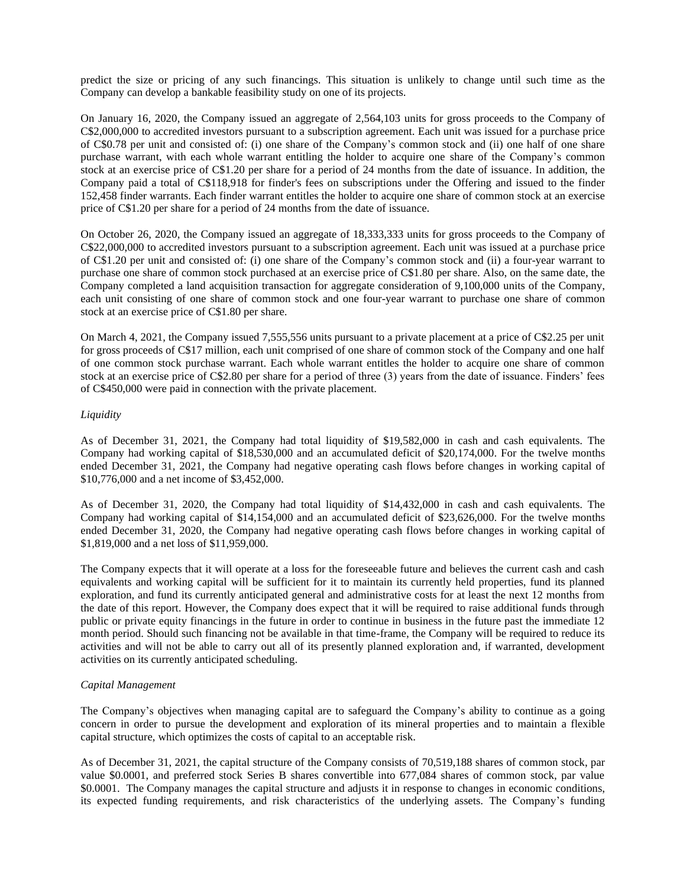predict the size or pricing of any such financings. This situation is unlikely to change until such time as the Company can develop a bankable feasibility study on one of its projects.

On January 16, 2020, the Company issued an aggregate of 2,564,103 units for gross proceeds to the Company of C\$2,000,000 to accredited investors pursuant to a subscription agreement. Each unit was issued for a purchase price of C\$0.78 per unit and consisted of: (i) one share of the Company's common stock and (ii) one half of one share purchase warrant, with each whole warrant entitling the holder to acquire one share of the Company's common stock at an exercise price of C\$1.20 per share for a period of 24 months from the date of issuance. In addition, the Company paid a total of C\$118,918 for finder's fees on subscriptions under the Offering and issued to the finder 152,458 finder warrants. Each finder warrant entitles the holder to acquire one share of common stock at an exercise price of C\$1.20 per share for a period of 24 months from the date of issuance.

On October 26, 2020, the Company issued an aggregate of 18,333,333 units for gross proceeds to the Company of C\$22,000,000 to accredited investors pursuant to a subscription agreement. Each unit was issued at a purchase price of C\$1.20 per unit and consisted of: (i) one share of the Company's common stock and (ii) a four-year warrant to purchase one share of common stock purchased at an exercise price of C\$1.80 per share. Also, on the same date, the Company completed a land acquisition transaction for aggregate consideration of 9,100,000 units of the Company, each unit consisting of one share of common stock and one four-year warrant to purchase one share of common stock at an exercise price of C\$1.80 per share.

On March 4, 2021, the Company issued 7,555,556 units pursuant to a private placement at a price of C\$2.25 per unit for gross proceeds of C\$17 million, each unit comprised of one share of common stock of the Company and one half of one common stock purchase warrant. Each whole warrant entitles the holder to acquire one share of common stock at an exercise price of C\$2.80 per share for a period of three (3) years from the date of issuance. Finders' fees of C\$450,000 were paid in connection with the private placement.

## *Liquidity*

As of December 31, 2021, the Company had total liquidity of \$19,582,000 in cash and cash equivalents. The Company had working capital of \$18,530,000 and an accumulated deficit of \$20,174,000. For the twelve months ended December 31, 2021, the Company had negative operating cash flows before changes in working capital of \$10,776,000 and a net income of \$3,452,000.

As of December 31, 2020, the Company had total liquidity of \$14,432,000 in cash and cash equivalents. The Company had working capital of \$14,154,000 and an accumulated deficit of \$23,626,000. For the twelve months ended December 31, 2020, the Company had negative operating cash flows before changes in working capital of \$1,819,000 and a net loss of \$11,959,000.

The Company expects that it will operate at a loss for the foreseeable future and believes the current cash and cash equivalents and working capital will be sufficient for it to maintain its currently held properties, fund its planned exploration, and fund its currently anticipated general and administrative costs for at least the next 12 months from the date of this report. However, the Company does expect that it will be required to raise additional funds through public or private equity financings in the future in order to continue in business in the future past the immediate 12 month period. Should such financing not be available in that time-frame, the Company will be required to reduce its activities and will not be able to carry out all of its presently planned exploration and, if warranted, development activities on its currently anticipated scheduling.

#### *Capital Management*

The Company's objectives when managing capital are to safeguard the Company's ability to continue as a going concern in order to pursue the development and exploration of its mineral properties and to maintain a flexible capital structure, which optimizes the costs of capital to an acceptable risk.

As of December 31, 2021, the capital structure of the Company consists of 70,519,188 shares of common stock, par value \$0.0001, and preferred stock Series B shares convertible into 677,084 shares of common stock, par value \$0.0001. The Company manages the capital structure and adjusts it in response to changes in economic conditions, its expected funding requirements, and risk characteristics of the underlying assets. The Company's funding